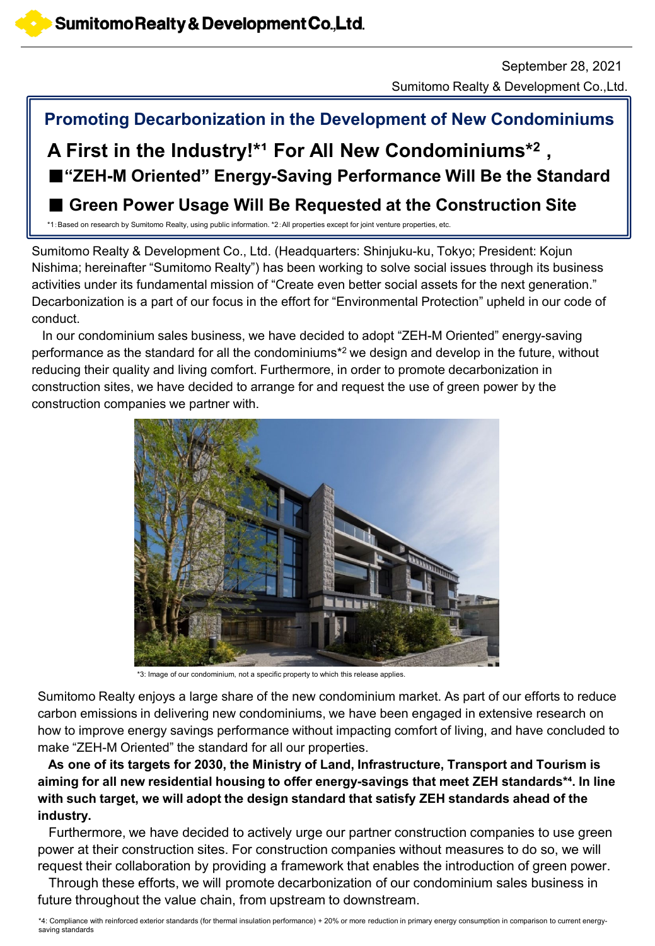Sumitomo Realty & Development Co.,Ltd. September 28, 2021

# **Promoting Decarbonization in the Development of New Condominiums**

# ■ "ZEH-M Oriented" Energy-Saving Performance Will Be the Standard A First in the Industry!\*<sup>1</sup> For All New Condominiums\*<sup>2</sup> ,

■ **Green Power Usage Will Be Requested at the Construction Site**

\*1:Based on research by Sumitomo Realty, using public information. \*2:All properties except for joint venture properties, etc.

Sumitomo Realty & Development Co., Ltd. (Headquarters: Shinjuku-ku, Tokyo; President: Kojun Nishima; hereinafter "Sumitomo Realty") has been working to solve social issues through its business activities under its fundamental mission of "Create even better social assets for the next generation." Decarbonization is a part of our focus in the effort for "Environmental Protection" upheld in our code of conduct.

In our condominium sales business, we have decided to adopt "ZEH-M Oriented" energy-saving performance as the standard for all the condominiums\*2 we design and develop in the future, without reducing their quality and living comfort. Furthermore, in order to promote decarbonization in construction sites, we have decided to arrange for and request the use of green power by the construction companies we partner with.



\*3: Image of our condominium, not a specific property to which this release applies.

how to improve energy savings performance without impacting comfort of living, and have concluded to Sumitomo Realty enjoys a large share of the new condominium market. As part of our efforts to reduce carbon emissions in delivering new condominiums, we have been engaged in extensive research on make "ZEH-M Oriented" the standard for all our properties.

**As one of its targets for 2030, the Ministry of Land, Infrastructure, Transport and Tourism is aiming for all new residential housing to offer energy-savings that meet ZEH standards\*⁴. In line with such target, we will adopt the design standard that satisfy ZEH standards ahead of the industry.**

Furthermore, we have decided to actively urge our partner construction companies to use green power at their construction sites. For construction companies without measures to do so, we will request their collaboration by providing a framework that enables the introduction of green power.

Through these efforts, we will promote decarbonization of our condominium sales business in future throughout the value chain, from upstream to downstream.